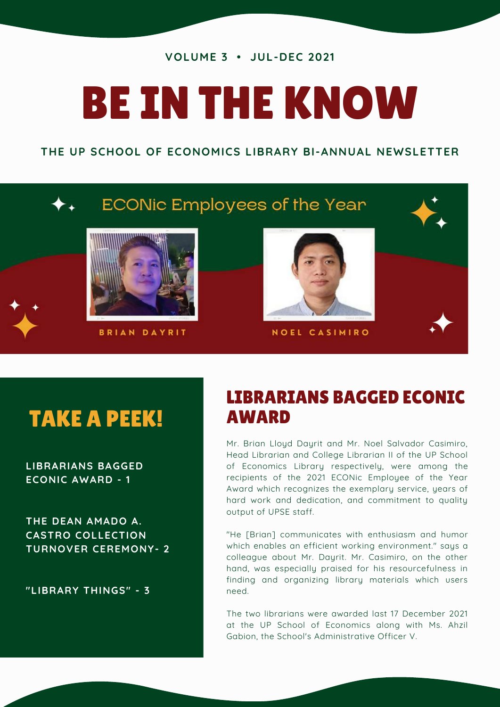#### **VOLUME 3 • JUL-DEC 2021**

# BE IN THE KNOW

#### **THE UP SCHOOL OF ECONOMICS LIBRARY BI-ANNUAL NEWSLETTER**



## TAKE A PEEK!

**LIBRARIANS BAGGED ECONIC AWARD - 1**

**THE DEAN AMADO A. CASTRO COLLECTION TURNOVER CEREMONY- 2**

**"LIBRARY THINGS" - 3**

## LIBRARIANS BAGGED ECONIC AWARD

Mr. Brian Lloyd Dayrit and Mr. Noel Salvador Casimiro, Head Librarian and College Librarian II of the UP School of Economics Library respectively, were among the recipients of the 2021 ECONic Employee of the Year Award which recognizes the exemplary service, years of hard work and dedication, and commitment to quality output of UPSE staff.

"He [Brian] communicates with enthusiasm and humor which enables an efficient working environment." says a colleague about Mr. Dayrit. Mr. Casimiro, on the other hand, was especially praised for his resourcefulness in finding and organizing library materials which users need.

The two librarians were awarded last 17 December 2021 at the UP School of Economics along with Ms. Ahzil Gabion, the School's Administrative Officer V.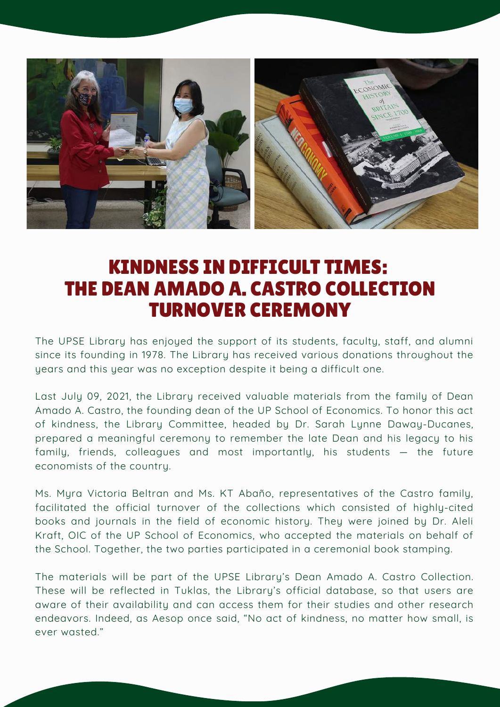

## KINDNESS IN DIFFICULT TIMES: THE DEAN AMADO A. CASTRO COLLECTION TURNOVER CEREMONY

The UPSE Library has enjoyed the support of its students, faculty, staff, and alumni since its founding in 1978. The Library has received various donations throughout the years and this year was no exception despite it being a difficult one.

Last July 09, 2021, the Library received valuable materials from the family of Dean Amado A. Castro, the founding dean of the UP School of Economics. To honor this act of kindness, the Library Committee, headed by Dr. Sarah Lynne Daway-Ducanes, prepared a meaningful ceremony to remember the late Dean and his legacy to his family, friends, colleagues and most importantly, his students — the future economists of the country.

Ms. Myra Victoria Beltran and Ms. KT Abaño, representatives of the Castro family, facilitated the official turnover of the collections which consisted of highly-cited books and journals in the field of economic history. They were joined by Dr. Aleli Kraft, OIC of the UP School of Economics, who accepted the materials on behalf of the School. Together, the two parties participated in a ceremonial book stamping.

The materials will be part of the UPSE Library's Dean Amado A. Castro Collection. These will be reflected in Tuklas, the Library's official database, so that users are aware of their availability and can access them for their studies and other research endeavors. Indeed, as Aesop once said, "No act of kindness, no matter how small, is ever wasted."